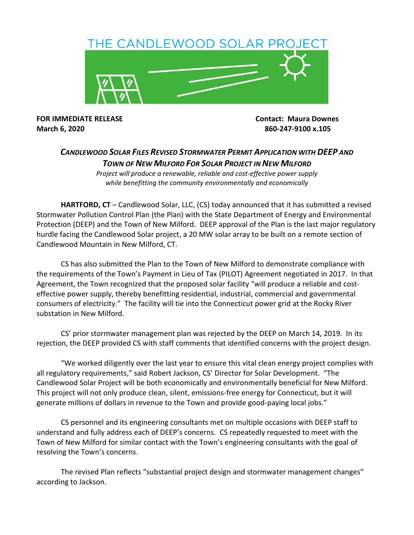

**March 6, 2020 860-247-9100 x.105**

**FOR IMMEDIATE RELEASE Contact: Maura Downes**

## *CANDLEWOOD SOLAR FILES REVISED STORMWATER PERMIT APPLICATION WITH DEEP AND TOWN OF NEW MILFORD FOR SOLAR PROJECT IN NEW MILFORD*

*Project will produce a renewable, reliable and cost-effective power supply while benefitting the community environmentally and economically*

**HARTFORD, CT** – Candlewood Solar, LLC, (CS) today announced that it has submitted a revised Stormwater Pollution Control Plan (the Plan) with the State Department of Energy and Environmental Protection (DEEP) and the Town of New Milford. DEEP approval of the Plan is the last major regulatory hurdle facing the Candlewood Solar project, a 20 MW solar array to be built on a remote section of Candlewood Mountain in New Milford, CT.

CS has also submitted the Plan to the Town of New Milford to demonstrate compliance with the requirements of the Town's Payment in Lieu of Tax (PILOT) Agreement negotiated in 2017. In that Agreement, the Town recognized that the proposed solar facility "will produce a reliable and costeffective power supply, thereby benefitting residential, industrial, commercial and governmental consumers of electricity." The facility will tie into the Connecticut power grid at the Rocky River substation in New Milford.

CS' prior stormwater management plan was rejected by the DEEP on March 14, 2019. In its rejection, the DEEP provided CS with staff comments that identified concerns with the project design.

"We worked diligently over the last year to ensure this vital clean energy project complies with all regulatory requirements," said Robert Jackson, CS' Director for Solar Development. "The Candlewood Solar Project will be both economically and environmentally beneficial for New Milford. This project will not only produce clean, silent, emissions-free energy for Connecticut, but it will generate millions of dollars in revenue to the Town and provide good-paying local jobs."

CS personnel and its engineering consultants met on multiple occasions with DEEP staff to understand and fully address each of DEEP's concerns. CS repeatedly requested to meet with the Town of New Milford for similar contact with the Town's engineering consultants with the goal of resolving the Town's concerns.

The revised Plan reflects "substantial project design and stormwater management changes" according to Jackson.